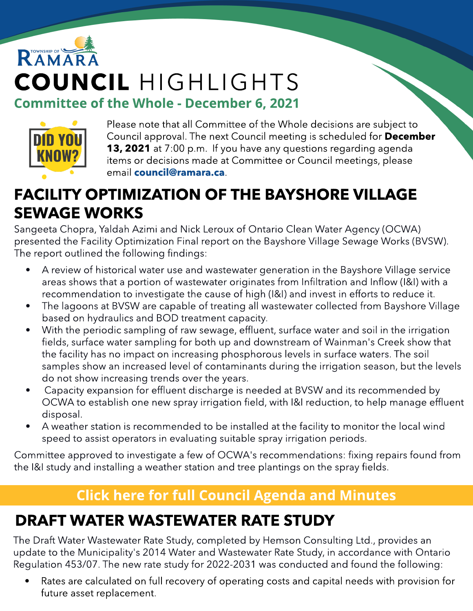# RAMAR COUNCIL HIGHLIGHTS **Committee of the Whole - December 6, 2021**



Please note that all Committee of the Whole decisions are subject to Council approval. The next Council meeting is scheduled for December **13, 2021** at 7:00 p.m. If you have any questions regarding agenda items or decisions made at Committee or Council meetings, please email [council@ramara.ca](mailto:council@ramara.ca).

### FACILITY OPTIMIZATION OF THE BAYSHORE VILLAGE SEWAGE WORKS

Sangeeta Chopra, Yaldah Azimi and Nick Leroux of Ontario Clean Water Agency (OCWA) presented the Facility Optimization Final report on the Bayshore Village Sewage Works (BVSW). The report outlined the following findings:

- A review of historical water use and wastewater generation in the Bayshore Village service areas shows that a portion of wastewater originates from Infiltration and Inflow (I&I) with a recommendation to investigate the cause of high (I&I) and invest in efforts to reduce it.
- The lagoons at BVSW are capable of treating all wastewater collected from Bayshore Village based on hydraulics and BOD treatment capacity.
- With the periodic sampling of raw sewage, effluent, surface water and soil in the irrigation fields, surface water sampling for both up and downstream of Wainman's Creek show that the facility has no impact on increasing phosphorous levels in surface waters. The soil samples show an increased level of contaminants during the irrigation season, but the levels do not show increasing trends over the years.
- Capacity expansion for effluent discharge is needed at BVSW and its recommended by OCWA to establish one new spray irrigation field, with I&I reduction, to help manage effluent disposal.
- A weather station is recommended to be installed at the facility to monitor the local wind speed to assist operators in evaluating suitable spray irrigation periods.

Committee approved to investigate a few of OCWA's recommendations: fixing repairs found from the I&I study and installing a weather station and tree plantings on the spray fields.

#### **[Click](https://ramara.civicweb.net/portal/) [here](https://ramara.civicweb.net/portal/) [for](https://ramara.civicweb.net/portal/) [full](https://ramara.civicweb.net/portal/) [Council](https://ramara.civicweb.net/portal/) [Agenda](https://ramara.civicweb.net/portal/) [and](https://ramara.civicweb.net/portal/) [Minut](https://ramara.civicweb.net/portal/)es**

### DRAFT WATER WASTEWATER RATE STUDY

The Draft Water Wastewater Rate Study, completed by Hemson Consulting Ltd., provides an update to the Municipality's 2014 Water and Wastewater Rate Study, in accordance with Ontario Regulation 453/07. The new rate study for 2022-2031 was conducted and found the following:

Rates are calculated on full recovery of operating costs and capital needs with provision for future asset replacement.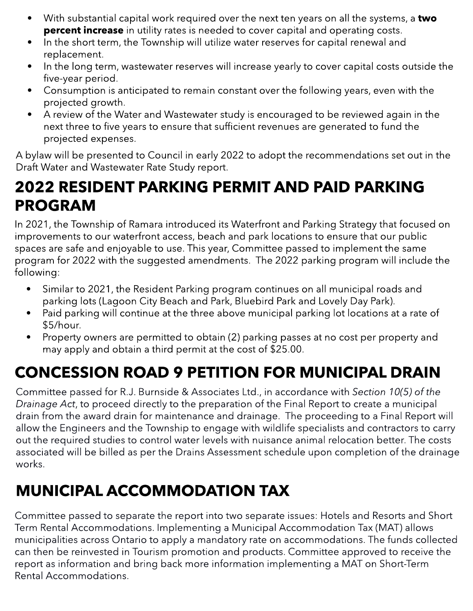- With substantial capital work required over the next ten years on all the systems, a **two percent increase** in utility rates is needed to cover capital and operating costs.
- In the short term, the Township will utilize water reserves for capital renewal and replacement.
- In the long term, wastewater reserves will increase yearly to cover capital costs outside the five-year period.
- Consumption is anticipated to remain constant over the following years, even with the projected growth.
- A review of the Water and Wastewater study is encouraged to be reviewed again in the next three to five years to ensure that sufficient revenues are generated to fund the projected expenses.

A bylaw will be presented to Council in early 2022 to adopt the recommendations set out in the Draft Water and Wastewater Rate Study report.

#### 2022 RESIDENT PARKING PERMIT AND PAID PARKING PROGRAM

In 2021, the Township of Ramara introduced its Waterfront and Parking Strategy that focused on improvements to our waterfront access, beach and park locations to ensure that our public spaces are safe and enjoyable to use. This year, Committee passed to implement the same program for 2022 with the suggested amendments. The 2022 parking program will include the following:

- PAID PARKING WITH HONK parking lots (Lagoon City Beach and Park, Bluebird Park and Lovely Day Park). - Similar to 2021, the Resident Parking program continues on all municipal roads and
	- Paid parking will continue at the three above municipal parking lot locations at a rate of \$5/hour.
	- Property owners are permitted to obtain (2) parking passes at no cost per property and may apply and obtain a third permit at the cost of \$25.00.

## CONCESSION ROAD 9 PETITION FOR MUNICIPAL DRAIN

Committee passed for R.J. Burnside & Associates Ltd., in accordance with **Section 10(5) of the Drainage Act**, to proceed directly to the preparation of the Final Report to create a municipal drain from the award drain for maintenance and drainage. The proceeding to a Final Report will allow the Engineers and the Township to engage with wildlife specialists and contractors to carry out the required studies to control water levels with nuisance animal relocation better. The costs associated will be billed as per the Drains Assessment schedule upon completion of the drainage works.

### MUNICIPAL ACCOMMODATION TAX

Committee passed to separate the report into two separate issues: Hotels and Resorts and Short Term Rental Accommodations. Implementing a Municipal Accommodation Tax (MAT) allows municipalities across Ontario to apply a mandatory rate on accommodations. The funds collected can then be reinvested in Tourism promotion and products. Committee approved to receive the report as information and bring back more information implementing a MAT on Short-Term Rental Accommodations.